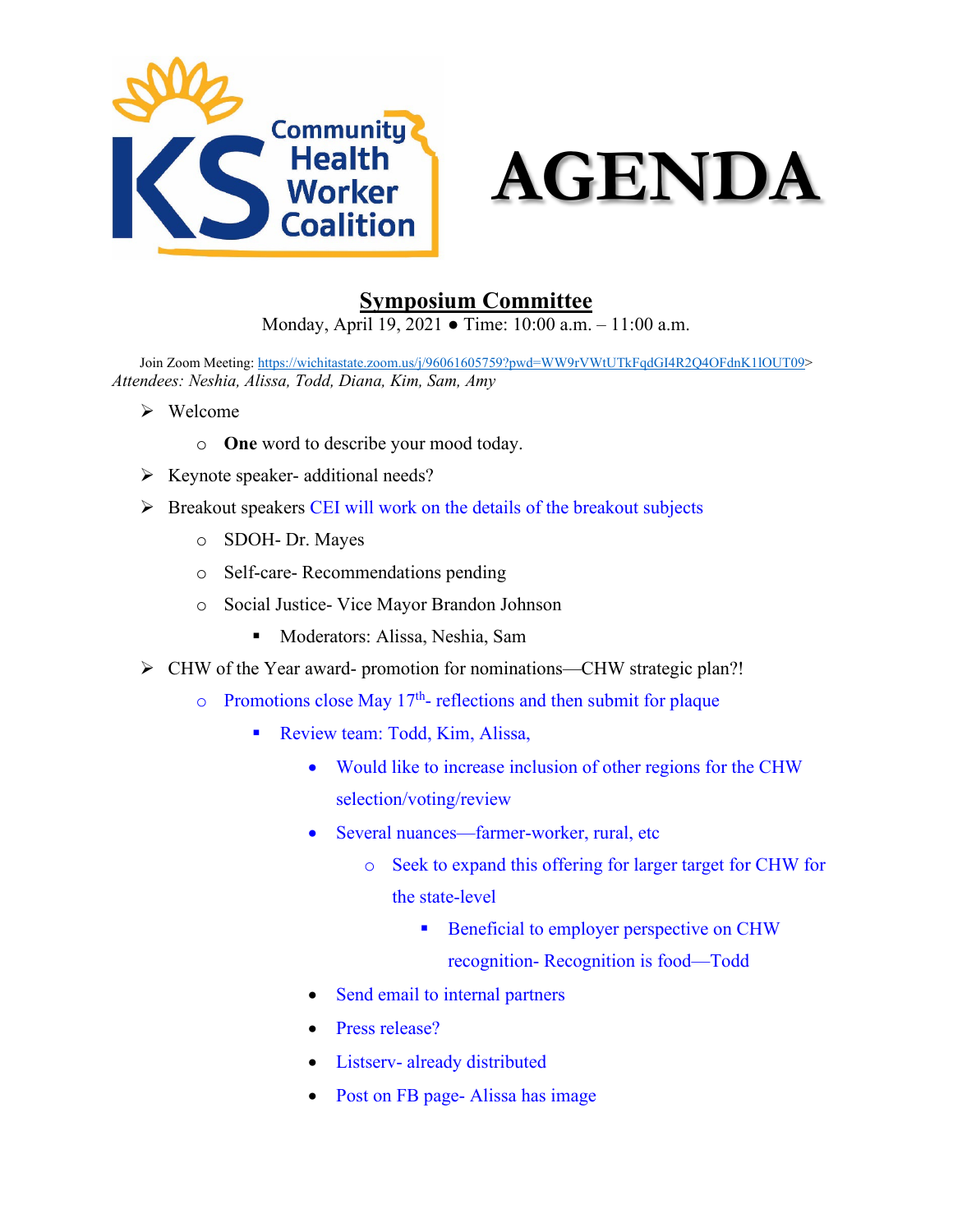



## **Symposium Committee**

Monday, April 19, 2021 ● Time: 10:00 a.m. – 11:00 a.m.

Join Zoom Meeting[: https://wichitastate.zoom.us/j/96061605759?pwd=WW9rVWtUTkFqdGI4R2Q4OFdnK1lOUT09](https://wichitastate.zoom.us/j/96061605759?pwd=WW9rVWtUTkFqdGI4R2Q4OFdnK1lOUT09)> *Attendees: Neshia, Alissa, Todd, Diana, Kim, Sam, Amy*

- Welcome
	- o **One** word to describe your mood today.
- $\triangleright$  Keynote speaker- additional needs?
- $\triangleright$  Breakout speakers CEI will work on the details of the breakout subjects
	- o SDOH- Dr. Mayes
	- o Self-care- Recommendations pending
	- o Social Justice- Vice Mayor Brandon Johnson
		- Moderators: Alissa, Neshia, Sam
- CHW of the Year award- promotion for nominations—CHW strategic plan?!
	- $\circ$  Promotions close May 17<sup>th</sup>- reflections and then submit for plaque
		- Review team: Todd, Kim, Alissa,
			- Would like to increase inclusion of other regions for the CHW selection/voting/review
			- Several nuances—farmer-worker, rural, etc
				- o Seek to expand this offering for larger target for CHW for the state-level
					- **Beneficial to employer perspective on CHW** recognition- Recognition is food—Todd
			- Send email to internal partners
			- Press release?
			- Listserv- already distributed
			- Post on FB page-Alissa has image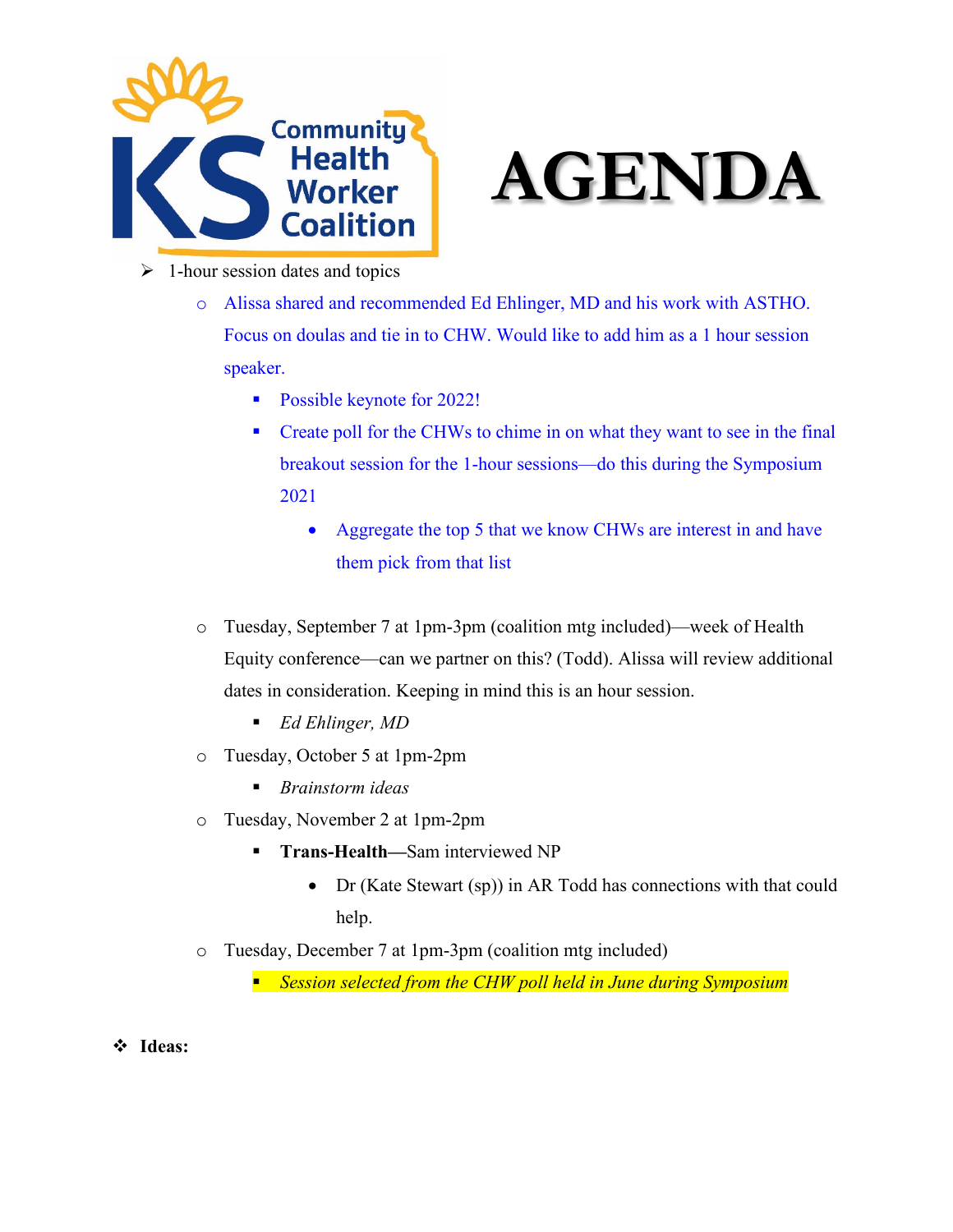



- $\geq 1$ -hour session dates and topics
	- o Alissa shared and recommended Ed Ehlinger, MD and his work with ASTHO. Focus on doulas and tie in to CHW. Would like to add him as a 1 hour session speaker.
		- **Possible keynote for 2022!**
		- Create poll for the CHWs to chime in on what they want to see in the final breakout session for the 1-hour sessions—do this during the Symposium 2021
			- Aggregate the top 5 that we know CHWs are interest in and have them pick from that list
	- o Tuesday, September 7 at 1pm-3pm (coalition mtg included)—week of Health Equity conference—can we partner on this? (Todd). Alissa will review additional dates in consideration. Keeping in mind this is an hour session.
		- *Ed Ehlinger, MD*
	- o Tuesday, October 5 at 1pm-2pm
		- *Brainstorm ideas*
	- o Tuesday, November 2 at 1pm-2pm
		- **Trans-Health—Sam interviewed NP** 
			- Dr (Kate Stewart (sp)) in AR Todd has connections with that could help.
	- o Tuesday, December 7 at 1pm-3pm (coalition mtg included)
		- *Session selected from the CHW poll held in June during Symposium*
- **Ideas:**